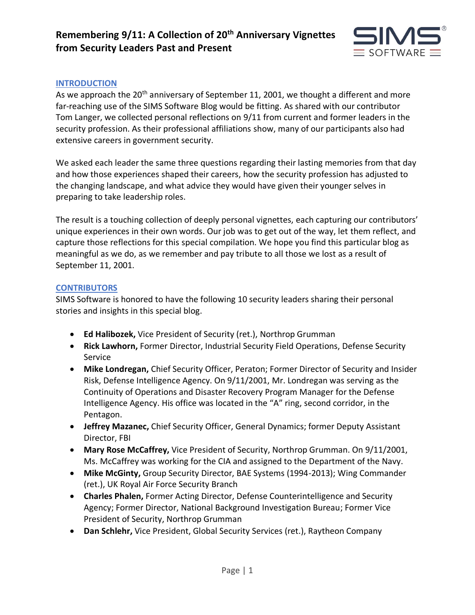

### **INTRODUCTION**

As we approach the 20<sup>th</sup> anniversary of September 11, 2001, we thought a different and more far-reaching use of the SIMS Software Blog would be fitting. As shared with our contributor Tom Langer, we collected personal reflections on 9/11 from current and former leaders in the security profession. As their professional affiliations show, many of our participants also had extensive careers in government security.

We asked each leader the same three questions regarding their lasting memories from that day and how those experiences shaped their careers, how the security profession has adjusted to the changing landscape, and what advice they would have given their younger selves in preparing to take leadership roles.

The result is a touching collection of deeply personal vignettes, each capturing our contributors' unique experiences in their own words. Our job was to get out of the way, let them reflect, and capture those reflections for this special compilation. We hope you find this particular blog as meaningful as we do, as we remember and pay tribute to all those we lost as a result of September 11, 2001.

#### **CONTRIBUTORS**

SIMS Software is honored to have the following 10 security leaders sharing their personal stories and insights in this special blog.

- **Ed Halibozek,** Vice President of Security (ret.), Northrop Grumman
- **Rick Lawhorn,** Former Director, Industrial Security Field Operations, Defense Security Service
- **Mike Londregan,** Chief Security Officer, Peraton; Former Director of Security and Insider Risk, Defense Intelligence Agency. On 9/11/2001, Mr. Londregan was serving as the Continuity of Operations and Disaster Recovery Program Manager for the Defense Intelligence Agency. His office was located in the "A" ring, second corridor, in the Pentagon.
- **Jeffrey Mazanec,** Chief Security Officer, General Dynamics; former Deputy Assistant Director, FBI
- **Mary Rose McCaffrey,** Vice President of Security, Northrop Grumman. On 9/11/2001, Ms. McCaffrey was working for the CIA and assigned to the Department of the Navy.
- **Mike McGinty,** Group Security Director, BAE Systems (1994-2013); Wing Commander (ret.), UK Royal Air Force Security Branch
- **Charles Phalen,** Former Acting Director, Defense Counterintelligence and Security Agency; Former Director, National Background Investigation Bureau; Former Vice President of Security, Northrop Grumman
- **Dan Schlehr,** Vice President, Global Security Services (ret.), Raytheon Company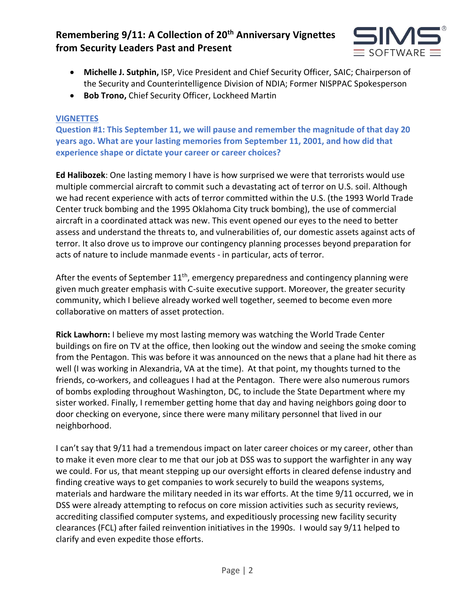

- **Michelle J. Sutphin,** ISP, Vice President and Chief Security Officer, SAIC; Chairperson of the Security and Counterintelligence Division of NDIA; Former NISPPAC Spokesperson
- **Bob Trono,** Chief Security Officer, Lockheed Martin

### **VIGNETTES**

**Question #1: This September 11, we will pause and remember the magnitude of that day 20 years ago. What are your lasting memories from September 11, 2001, and how did that experience shape or dictate your career or career choices?**

**Ed Halibozek**: One lasting memory I have is how surprised we were that terrorists would use multiple commercial aircraft to commit such a devastating act of terror on U.S. soil. Although we had recent experience with acts of terror committed within the U.S. (the 1993 World Trade Center truck bombing and the 1995 Oklahoma City truck bombing), the use of commercial aircraft in a coordinated attack was new. This event opened our eyes to the need to better assess and understand the threats to, and vulnerabilities of, our domestic assets against acts of terror. It also drove us to improve our contingency planning processes beyond preparation for acts of nature to include manmade events - in particular, acts of terror.

After the events of September  $11<sup>th</sup>$ , emergency preparedness and contingency planning were given much greater emphasis with C-suite executive support. Moreover, the greater security community, which I believe already worked well together, seemed to become even more collaborative on matters of asset protection.

**Rick Lawhorn:** I believe my most lasting memory was watching the World Trade Center buildings on fire on TV at the office, then looking out the window and seeing the smoke coming from the Pentagon. This was before it was announced on the news that a plane had hit there as well (I was working in Alexandria, VA at the time). At that point, my thoughts turned to the friends, co-workers, and colleagues I had at the Pentagon. There were also numerous rumors of bombs exploding throughout Washington, DC, to include the State Department where my sister worked. Finally, I remember getting home that day and having neighbors going door to door checking on everyone, since there were many military personnel that lived in our neighborhood.

I can't say that 9/11 had a tremendous impact on later career choices or my career, other than to make it even more clear to me that our job at DSS was to support the warfighter in any way we could. For us, that meant stepping up our oversight efforts in cleared defense industry and finding creative ways to get companies to work securely to build the weapons systems, materials and hardware the military needed in its war efforts. At the time 9/11 occurred, we in DSS were already attempting to refocus on core mission activities such as security reviews, accrediting classified computer systems, and expeditiously processing new facility security clearances (FCL) after failed reinvention initiatives in the 1990s. I would say 9/11 helped to clarify and even expedite those efforts.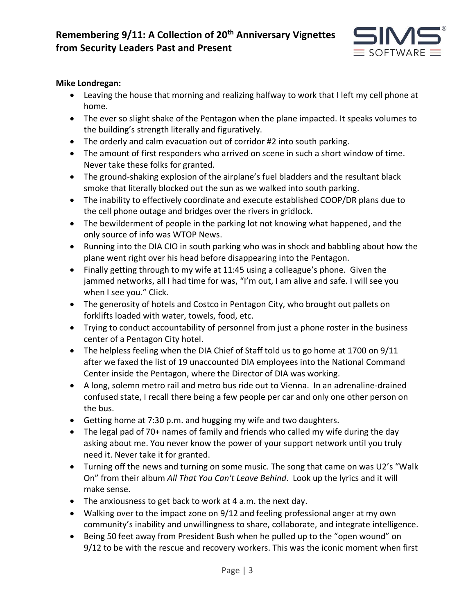

### **Mike Londregan:**

- Leaving the house that morning and realizing halfway to work that I left my cell phone at home.
- The ever so slight shake of the Pentagon when the plane impacted. It speaks volumes to the building's strength literally and figuratively.
- The orderly and calm evacuation out of corridor #2 into south parking.
- The amount of first responders who arrived on scene in such a short window of time. Never take these folks for granted.
- The ground-shaking explosion of the airplane's fuel bladders and the resultant black smoke that literally blocked out the sun as we walked into south parking.
- The inability to effectively coordinate and execute established COOP/DR plans due to the cell phone outage and bridges over the rivers in gridlock.
- The bewilderment of people in the parking lot not knowing what happened, and the only source of info was WTOP News.
- Running into the DIA CIO in south parking who was in shock and babbling about how the plane went right over his head before disappearing into the Pentagon.
- Finally getting through to my wife at 11:45 using a colleague's phone. Given the jammed networks, all I had time for was, "I'm out, I am alive and safe. I will see you when I see you." Click.
- The generosity of hotels and Costco in Pentagon City, who brought out pallets on forklifts loaded with water, towels, food, etc.
- Trying to conduct accountability of personnel from just a phone roster in the business center of a Pentagon City hotel.
- The helpless feeling when the DIA Chief of Staff told us to go home at 1700 on 9/11 after we faxed the list of 19 unaccounted DIA employees into the National Command Center inside the Pentagon, where the Director of DIA was working.
- A long, solemn metro rail and metro bus ride out to Vienna. In an adrenaline-drained confused state, I recall there being a few people per car and only one other person on the bus.
- Getting home at 7:30 p.m. and hugging my wife and two daughters.
- The legal pad of 70+ names of family and friends who called my wife during the day asking about me. You never know the power of your support network until you truly need it. Never take it for granted.
- Turning off the news and turning on some music. The song that came on was U2's "Walk On" from their album *All That You Can't Leave Behind*. Look up the lyrics and it will make sense.
- The anxiousness to get back to work at 4 a.m. the next day.
- Walking over to the impact zone on 9/12 and feeling professional anger at my own community's inability and unwillingness to share, collaborate, and integrate intelligence.
- Being 50 feet away from President Bush when he pulled up to the "open wound" on 9/12 to be with the rescue and recovery workers. This was the iconic moment when first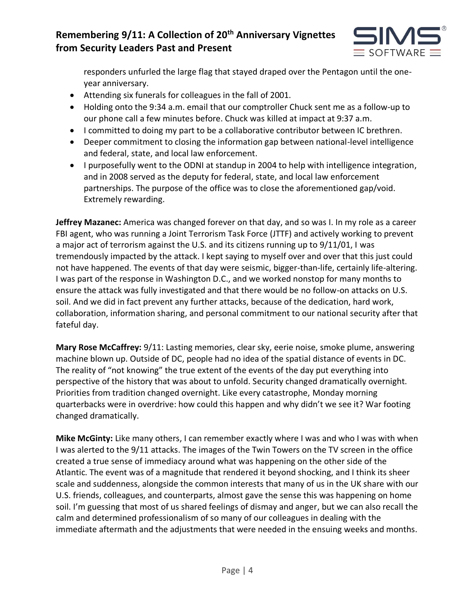

responders unfurled the large flag that stayed draped over the Pentagon until the oneyear anniversary.

- Attending six funerals for colleagues in the fall of 2001.
- Holding onto the 9:34 a.m. email that our comptroller Chuck sent me as a follow-up to our phone call a few minutes before. Chuck was killed at impact at 9:37 a.m.
- I committed to doing my part to be a collaborative contributor between IC brethren.
- Deeper commitment to closing the information gap between national-level intelligence and federal, state, and local law enforcement.
- I purposefully went to the ODNI at standup in 2004 to help with intelligence integration, and in 2008 served as the deputy for federal, state, and local law enforcement partnerships. The purpose of the office was to close the aforementioned gap/void. Extremely rewarding.

**Jeffrey Mazanec:** America was changed forever on that day, and so was I. In my role as a career FBI agent, who was running a Joint Terrorism Task Force (JTTF) and actively working to prevent a major act of terrorism against the U.S. and its citizens running up to 9/11/01, I was tremendously impacted by the attack. I kept saying to myself over and over that this just could not have happened. The events of that day were seismic, bigger-than-life, certainly life-altering. I was part of the response in Washington D.C., and we worked nonstop for many months to ensure the attack was fully investigated and that there would be no follow-on attacks on U.S. soil. And we did in fact prevent any further attacks, because of the dedication, hard work, collaboration, information sharing, and personal commitment to our national security after that fateful day.

**Mary Rose McCaffrey:** 9/11: Lasting memories, clear sky, eerie noise, smoke plume, answering machine blown up. Outside of DC, people had no idea of the spatial distance of events in DC. The reality of "not knowing" the true extent of the events of the day put everything into perspective of the history that was about to unfold. Security changed dramatically overnight. Priorities from tradition changed overnight. Like every catastrophe, Monday morning quarterbacks were in overdrive: how could this happen and why didn't we see it? War footing changed dramatically.

**Mike McGinty:** Like many others, I can remember exactly where I was and who I was with when I was alerted to the 9/11 attacks. The images of the Twin Towers on the TV screen in the office created a true sense of immediacy around what was happening on the other side of the Atlantic. The event was of a magnitude that rendered it beyond shocking, and I think its sheer scale and suddenness, alongside the common interests that many of us in the UK share with our U.S. friends, colleagues, and counterparts, almost gave the sense this was happening on home soil. I'm guessing that most of us shared feelings of dismay and anger, but we can also recall the calm and determined professionalism of so many of our colleagues in dealing with the immediate aftermath and the adjustments that were needed in the ensuing weeks and months.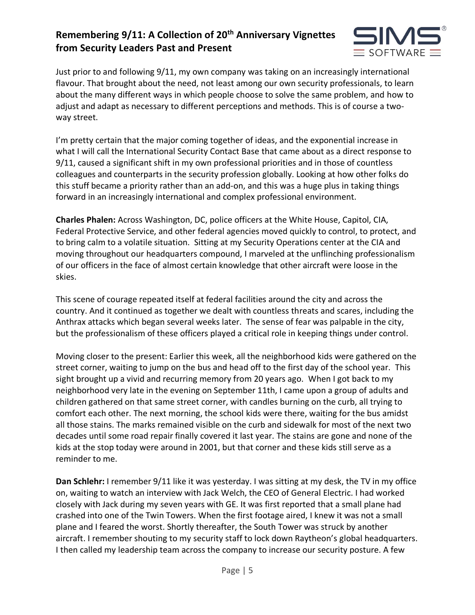

Just prior to and following 9/11, my own company was taking on an increasingly international flavour. That brought about the need, not least among our own security professionals, to learn about the many different ways in which people choose to solve the same problem, and how to adjust and adapt as necessary to different perceptions and methods. This is of course a twoway street.

I'm pretty certain that the major coming together of ideas, and the exponential increase in what I will call the International Security Contact Base that came about as a direct response to 9/11, caused a significant shift in my own professional priorities and in those of countless colleagues and counterparts in the security profession globally. Looking at how other folks do this stuff became a priority rather than an add-on, and this was a huge plus in taking things forward in an increasingly international and complex professional environment.

**Charles Phalen:** Across Washington, DC, police officers at the White House, Capitol, CIA, Federal Protective Service, and other federal agencies moved quickly to control, to protect, and to bring calm to a volatile situation. Sitting at my Security Operations center at the CIA and moving throughout our headquarters compound, I marveled at the unflinching professionalism of our officers in the face of almost certain knowledge that other aircraft were loose in the skies.

This scene of courage repeated itself at federal facilities around the city and across the country. And it continued as together we dealt with countless threats and scares, including the Anthrax attacks which began several weeks later. The sense of fear was palpable in the city, but the professionalism of these officers played a critical role in keeping things under control.

Moving closer to the present: Earlier this week, all the neighborhood kids were gathered on the street corner, waiting to jump on the bus and head off to the first day of the school year. This sight brought up a vivid and recurring memory from 20 years ago. When I got back to my neighborhood very late in the evening on September 11th, I came upon a group of adults and children gathered on that same street corner, with candles burning on the curb, all trying to comfort each other. The next morning, the school kids were there, waiting for the bus amidst all those stains. The marks remained visible on the curb and sidewalk for most of the next two decades until some road repair finally covered it last year. The stains are gone and none of the kids at the stop today were around in 2001, but that corner and these kids still serve as a reminder to me.

**Dan Schlehr:** I remember 9/11 like it was yesterday. I was sitting at my desk, the TV in my office on, waiting to watch an interview with Jack Welch, the CEO of General Electric. I had worked closely with Jack during my seven years with GE. It was first reported that a small plane had crashed into one of the Twin Towers. When the first footage aired, I knew it was not a small plane and I feared the worst. Shortly thereafter, the South Tower was struck by another aircraft. I remember shouting to my security staff to lock down Raytheon's global headquarters. I then called my leadership team across the company to increase our security posture. A few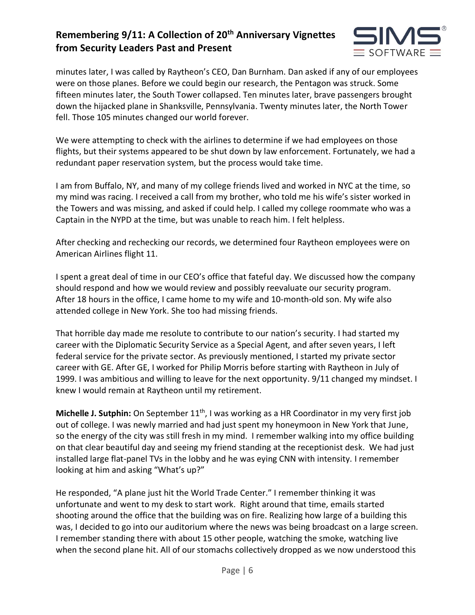

minutes later, I was called by Raytheon's CEO, Dan Burnham. Dan asked if any of our employees were on those planes. Before we could begin our research, the Pentagon was struck. Some fifteen minutes later, the South Tower collapsed. Ten minutes later, brave passengers brought down the hijacked plane in Shanksville, Pennsylvania. Twenty minutes later, the North Tower fell. Those 105 minutes changed our world forever.

We were attempting to check with the airlines to determine if we had employees on those flights, but their systems appeared to be shut down by law enforcement. Fortunately, we had a redundant paper reservation system, but the process would take time.

I am from Buffalo, NY, and many of my college friends lived and worked in NYC at the time, so my mind was racing. I received a call from my brother, who told me his wife's sister worked in the Towers and was missing, and asked if could help. I called my college roommate who was a Captain in the NYPD at the time, but was unable to reach him. I felt helpless.

After checking and rechecking our records, we determined four Raytheon employees were on American Airlines flight 11.

I spent a great deal of time in our CEO's office that fateful day. We discussed how the company should respond and how we would review and possibly reevaluate our security program. After 18 hours in the office, I came home to my wife and 10-month-old son. My wife also attended college in New York. She too had missing friends.

That horrible day made me resolute to contribute to our nation's security. I had started my career with the Diplomatic Security Service as a Special Agent, and after seven years, I left federal service for the private sector. As previously mentioned, I started my private sector career with GE. After GE, I worked for Philip Morris before starting with Raytheon in July of 1999. I was ambitious and willing to leave for the next opportunity. 9/11 changed my mindset. I knew I would remain at Raytheon until my retirement.

**Michelle J. Sutphin:** On September 11<sup>th</sup>, I was working as a HR Coordinator in my very first job out of college. I was newly married and had just spent my honeymoon in New York that June, so the energy of the city was still fresh in my mind. I remember walking into my office building on that clear beautiful day and seeing my friend standing at the receptionist desk. We had just installed large flat-panel TVs in the lobby and he was eying CNN with intensity. I remember looking at him and asking "What's up?"

He responded, "A plane just hit the World Trade Center." I remember thinking it was unfortunate and went to my desk to start work. Right around that time, emails started shooting around the office that the building was on fire. Realizing how large of a building this was, I decided to go into our auditorium where the news was being broadcast on a large screen. I remember standing there with about 15 other people, watching the smoke, watching live when the second plane hit. All of our stomachs collectively dropped as we now understood this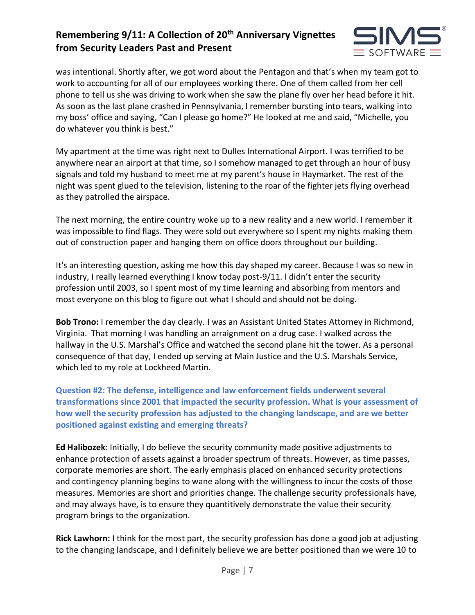

was intentional. Shortly after, we got word about the Pentagon and that's when my team got to work to accounting for all of our employees working there. One of them called from her cell phone to tell us she was driving to work when she saw the plane fly over her head before it hit. As soon as the last plane crashed in Pennsylvania, I remember bursting into tears, walking into my boss' office and saying, "Can I please go home?" He looked at me and said, "Michelle, you do whatever you think is best."

My apartment at the time was right next to Dulles International Airport. I was terrified to be anywhere near an airport at that time, so I somehow managed to get through an hour of busy signals and told my husband to meet me at my parent's house in Haymarket. The rest of the night was spent glued to the television, listening to the roar of the fighter jets flying overhead as they patrolled the airspace.

The next morning, the entire country woke up to a new reality and a new world. I remember it was impossible to find flags. They were sold out everywhere so I spent my nights making them out of construction paper and hanging them on office doors throughout our building.

It's an interesting question, asking me how this day shaped my career. Because I was so new in industry, I really learned everything I know today post-9/11. I didn't enter the security profession until 2003, so I spent most of my time learning and absorbing from mentors and most everyone on this blog to figure out what I should and should not be doing.

**Bob Trono:** I remember the day clearly. I was an Assistant United States Attorney in Richmond, Virginia. That morning I was handling an arraignment on a drug case. I walked across the hallway in the U.S. Marshal's Office and watched the second plane hit the tower. As a personal consequence of that day, I ended up serving at Main Justice and the U.S. Marshals Service, which led to my role at Lockheed Martin.

**Question #2: The defense, intelligence and law enforcement fields underwent several transformations since 2001 that impacted the security profession. What is your assessment of how well the security profession has adjusted to the changing landscape, and are we better positioned against existing and emerging threats?** 

**Ed Halibozek**: Initially, I do believe the security community made positive adjustments to enhance protection of assets against a broader spectrum of threats. However, as time passes, corporate memories are short. The early emphasis placed on enhanced security protections and contingency planning begins to wane along with the willingness to incur the costs of those measures. Memories are short and priorities change. The challenge security professionals have, and may always have, is to ensure they quantitively demonstrate the value their security program brings to the organization.

**Rick Lawhorn:** I think for the most part, the security profession has done a good job at adjusting to the changing landscape, and I definitely believe we are better positioned than we were 10 to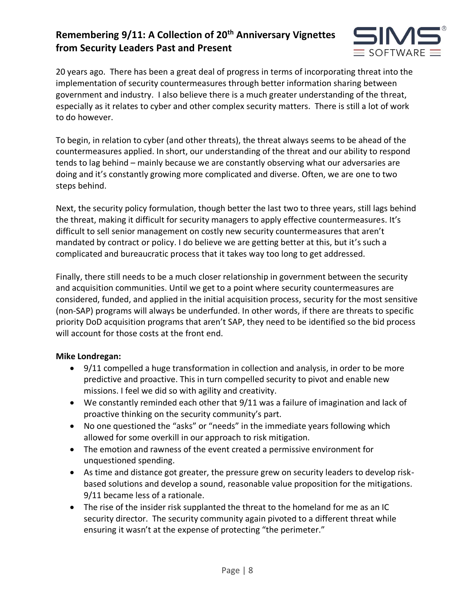

20 years ago. There has been a great deal of progress in terms of incorporating threat into the implementation of security countermeasures through better information sharing between government and industry. I also believe there is a much greater understanding of the threat, especially as it relates to cyber and other complex security matters. There is still a lot of work to do however.

To begin, in relation to cyber (and other threats), the threat always seems to be ahead of the countermeasures applied. In short, our understanding of the threat and our ability to respond tends to lag behind – mainly because we are constantly observing what our adversaries are doing and it's constantly growing more complicated and diverse. Often, we are one to two steps behind.

Next, the security policy formulation, though better the last two to three years, still lags behind the threat, making it difficult for security managers to apply effective countermeasures. It's difficult to sell senior management on costly new security countermeasures that aren't mandated by contract or policy. I do believe we are getting better at this, but it's such a complicated and bureaucratic process that it takes way too long to get addressed.

Finally, there still needs to be a much closer relationship in government between the security and acquisition communities. Until we get to a point where security countermeasures are considered, funded, and applied in the initial acquisition process, security for the most sensitive (non-SAP) programs will always be underfunded. In other words, if there are threats to specific priority DoD acquisition programs that aren't SAP, they need to be identified so the bid process will account for those costs at the front end.

### **Mike Londregan:**

- 9/11 compelled a huge transformation in collection and analysis, in order to be more predictive and proactive. This in turn compelled security to pivot and enable new missions. I feel we did so with agility and creativity.
- We constantly reminded each other that 9/11 was a failure of imagination and lack of proactive thinking on the security community's part.
- No one questioned the "asks" or "needs" in the immediate years following which allowed for some overkill in our approach to risk mitigation.
- The emotion and rawness of the event created a permissive environment for unquestioned spending.
- As time and distance got greater, the pressure grew on security leaders to develop riskbased solutions and develop a sound, reasonable value proposition for the mitigations. 9/11 became less of a rationale.
- The rise of the insider risk supplanted the threat to the homeland for me as an IC security director. The security community again pivoted to a different threat while ensuring it wasn't at the expense of protecting "the perimeter."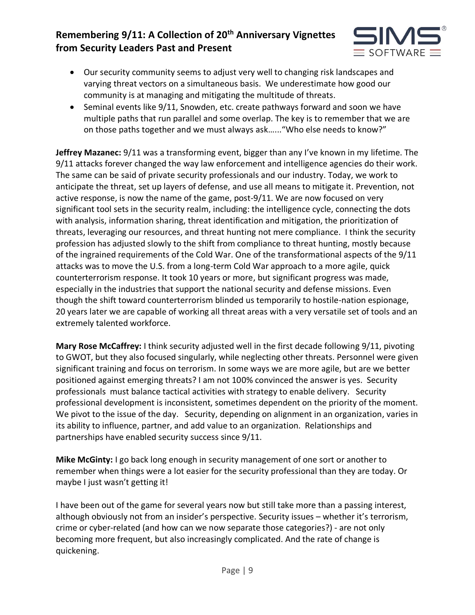

- Our security community seems to adjust very well to changing risk landscapes and varying threat vectors on a simultaneous basis. We underestimate how good our community is at managing and mitigating the multitude of threats.
- Seminal events like 9/11, Snowden, etc. create pathways forward and soon we have multiple paths that run parallel and some overlap. The key is to remember that we are on those paths together and we must always ask…..."Who else needs to know?"

**Jeffrey Mazanec:** 9/11 was a transforming event, bigger than any I've known in my lifetime. The 9/11 attacks forever changed the way law enforcement and intelligence agencies do their work. The same can be said of private security professionals and our industry. Today, we work to anticipate the threat, set up layers of defense, and use all means to mitigate it. Prevention, not active response, is now the name of the game, post-9/11. We are now focused on very significant tool sets in the security realm, including: the intelligence cycle, connecting the dots with analysis, information sharing, threat identification and mitigation, the prioritization of threats, leveraging our resources, and threat hunting not mere compliance. I think the security profession has adjusted slowly to the shift from compliance to threat hunting, mostly because of the ingrained requirements of the Cold War. One of the transformational aspects of the 9/11 attacks was to move the U.S. from a long-term Cold War approach to a more agile, quick counterterrorism response. It took 10 years or more, but significant progress was made, especially in the industries that support the national security and defense missions. Even though the shift toward counterterrorism blinded us temporarily to hostile-nation espionage, 20 years later we are capable of working all threat areas with a very versatile set of tools and an extremely talented workforce.

**Mary Rose McCaffrey:** I think security adjusted well in the first decade following 9/11, pivoting to GWOT, but they also focused singularly, while neglecting other threats. Personnel were given significant training and focus on terrorism. In some ways we are more agile, but are we better positioned against emerging threats? I am not 100% convinced the answer is yes. Security professionals must balance tactical activities with strategy to enable delivery. Security professional development is inconsistent, sometimes dependent on the priority of the moment. We pivot to the issue of the day. Security, depending on alignment in an organization, varies in its ability to influence, partner, and add value to an organization. Relationships and partnerships have enabled security success since 9/11.

**Mike McGinty:** I go back long enough in security management of one sort or another to remember when things were a lot easier for the security professional than they are today. Or maybe I just wasn't getting it!

I have been out of the game for several years now but still take more than a passing interest, although obviously not from an insider's perspective. Security issues – whether it's terrorism, crime or cyber-related (and how can we now separate those categories?) - are not only becoming more frequent, but also increasingly complicated. And the rate of change is quickening.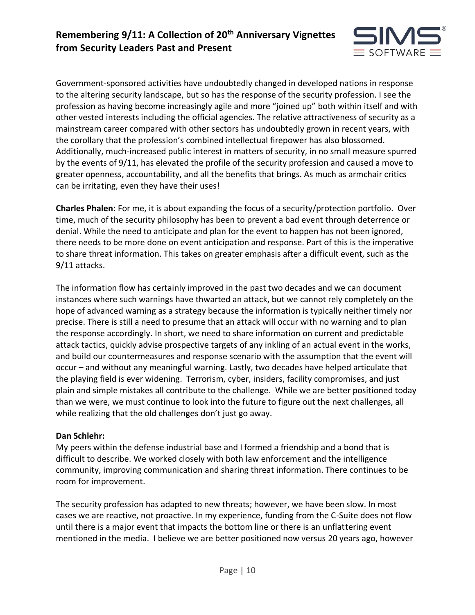

Government-sponsored activities have undoubtedly changed in developed nations in response to the altering security landscape, but so has the response of the security profession. I see the profession as having become increasingly agile and more "joined up" both within itself and with other vested interests including the official agencies. The relative attractiveness of security as a mainstream career compared with other sectors has undoubtedly grown in recent years, with the corollary that the profession's combined intellectual firepower has also blossomed. Additionally, much-increased public interest in matters of security, in no small measure spurred by the events of 9/11, has elevated the profile of the security profession and caused a move to greater openness, accountability, and all the benefits that brings. As much as armchair critics can be irritating, even they have their uses!

**Charles Phalen:** For me, it is about expanding the focus of a security/protection portfolio. Over time, much of the security philosophy has been to prevent a bad event through deterrence or denial. While the need to anticipate and plan for the event to happen has not been ignored, there needs to be more done on event anticipation and response. Part of this is the imperative to share threat information. This takes on greater emphasis after a difficult event, such as the 9/11 attacks.

The information flow has certainly improved in the past two decades and we can document instances where such warnings have thwarted an attack, but we cannot rely completely on the hope of advanced warning as a strategy because the information is typically neither timely nor precise. There is still a need to presume that an attack will occur with no warning and to plan the response accordingly. In short, we need to share information on current and predictable attack tactics, quickly advise prospective targets of any inkling of an actual event in the works, and build our countermeasures and response scenario with the assumption that the event will occur – and without any meaningful warning. Lastly, two decades have helped articulate that the playing field is ever widening. Terrorism, cyber, insiders, facility compromises, and just plain and simple mistakes all contribute to the challenge. While we are better positioned today than we were, we must continue to look into the future to figure out the next challenges, all while realizing that the old challenges don't just go away.

#### **Dan Schlehr:**

My peers within the defense industrial base and I formed a friendship and a bond that is difficult to describe. We worked closely with both law enforcement and the intelligence community, improving communication and sharing threat information. There continues to be room for improvement.

The security profession has adapted to new threats; however, we have been slow. In most cases we are reactive, not proactive. In my experience, funding from the C-Suite does not flow until there is a major event that impacts the bottom line or there is an unflattering event mentioned in the media. I believe we are better positioned now versus 20 years ago, however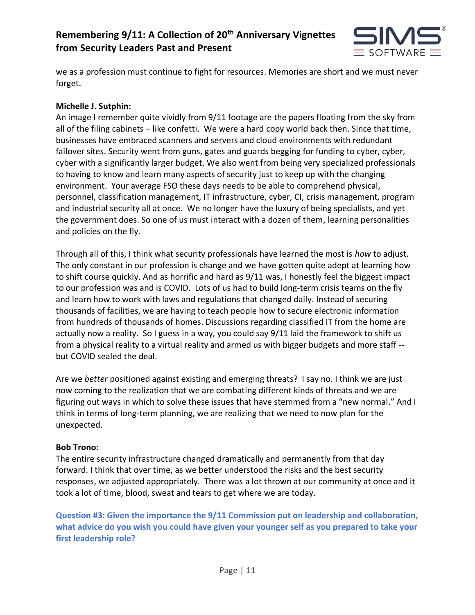

we as a profession must continue to fight for resources. Memories are short and we must never forget.

### **Michelle J. Sutphin:**

An image I remember quite vividly from 9/11 footage are the papers floating from the sky from all of the filing cabinets – like confetti. We were a hard copy world back then. Since that time, businesses have embraced scanners and servers and cloud environments with redundant failover sites. Security went from guns, gates and guards begging for funding to cyber, cyber, cyber with a significantly larger budget. We also went from being very specialized professionals to having to know and learn many aspects of security just to keep up with the changing environment. Your average FSO these days needs to be able to comprehend physical, personnel, classification management, IT infrastructure, cyber, CI, crisis management, program and industrial security all at once. We no longer have the luxury of being specialists, and yet the government does. So one of us must interact with a dozen of them, learning personalities and policies on the fly.

Through all of this, I think what security professionals have learned the most is *how* to adjust. The only constant in our profession is change and we have gotten quite adept at learning how to shift course quickly. And as horrific and hard as 9/11 was, I honestly feel the biggest impact to our profession was and is COVID. Lots of us had to build long-term crisis teams on the fly and learn how to work with laws and regulations that changed daily. Instead of securing thousands of facilities, we are having to teach people how to secure electronic information from hundreds of thousands of homes. Discussions regarding classified IT from the home are actually now a reality. So I guess in a way, you could say 9/11 laid the framework to shift us from a physical reality to a virtual reality and armed us with bigger budgets and more staff - but COVID sealed the deal.

Are we *better* positioned against existing and emerging threats? I say no. I think we are just now coming to the realization that we are combating different kinds of threats and we are figuring out ways in which to solve these issues that have stemmed from a "new normal." And I think in terms of long-term planning, we are realizing that we need to now plan for the unexpected.

### **Bob Trono:**

The entire security infrastructure changed dramatically and permanently from that day forward. I think that over time, as we better understood the risks and the best security responses, we adjusted appropriately. There was a lot thrown at our community at once and it took a lot of time, blood, sweat and tears to get where we are today.

**Question #3: Given the importance the 9/11 Commission put on leadership and collaboration, what advice do you wish you could have given your younger self as you prepared to take your first leadership role?**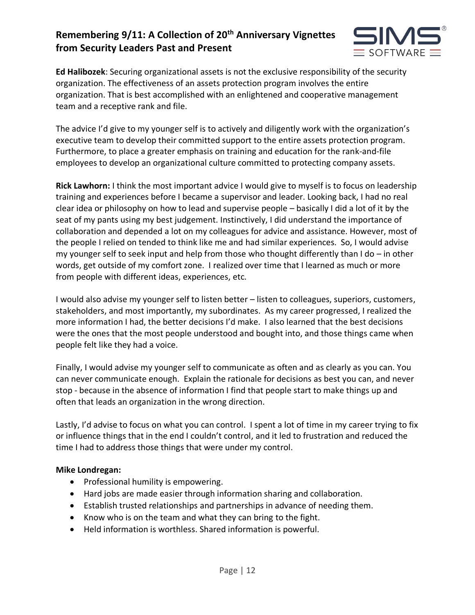

**Ed Halibozek**: Securing organizational assets is not the exclusive responsibility of the security organization. The effectiveness of an assets protection program involves the entire organization. That is best accomplished with an enlightened and cooperative management team and a receptive rank and file.

The advice I'd give to my younger self is to actively and diligently work with the organization's executive team to develop their committed support to the entire assets protection program. Furthermore, to place a greater emphasis on training and education for the rank-and-file employees to develop an organizational culture committed to protecting company assets.

**Rick Lawhorn:** I think the most important advice I would give to myself is to focus on leadership training and experiences before I became a supervisor and leader. Looking back, I had no real clear idea or philosophy on how to lead and supervise people – basically I did a lot of it by the seat of my pants using my best judgement. Instinctively, I did understand the importance of collaboration and depended a lot on my colleagues for advice and assistance. However, most of the people I relied on tended to think like me and had similar experiences. So, I would advise my younger self to seek input and help from those who thought differently than I do  $-$  in other words, get outside of my comfort zone. I realized over time that I learned as much or more from people with different ideas, experiences, etc.

I would also advise my younger self to listen better – listen to colleagues, superiors, customers, stakeholders, and most importantly, my subordinates. As my career progressed, I realized the more information I had, the better decisions I'd make. I also learned that the best decisions were the ones that the most people understood and bought into, and those things came when people felt like they had a voice.

Finally, I would advise my younger self to communicate as often and as clearly as you can. You can never communicate enough. Explain the rationale for decisions as best you can, and never stop - because in the absence of information I find that people start to make things up and often that leads an organization in the wrong direction.

Lastly, I'd advise to focus on what you can control. I spent a lot of time in my career trying to fix or influence things that in the end I couldn't control, and it led to frustration and reduced the time I had to address those things that were under my control.

### **Mike Londregan:**

- Professional humility is empowering.
- Hard jobs are made easier through information sharing and collaboration.
- Establish trusted relationships and partnerships in advance of needing them.
- Know who is on the team and what they can bring to the fight.
- Held information is worthless. Shared information is powerful.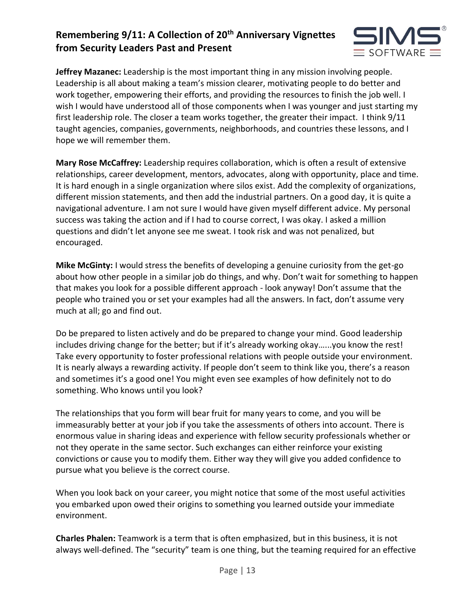

**Jeffrey Mazanec:** Leadership is the most important thing in any mission involving people. Leadership is all about making a team's mission clearer, motivating people to do better and work together, empowering their efforts, and providing the resources to finish the job well. I wish I would have understood all of those components when I was younger and just starting my first leadership role. The closer a team works together, the greater their impact. I think 9/11 taught agencies, companies, governments, neighborhoods, and countries these lessons, and I hope we will remember them.

**Mary Rose McCaffrey:** Leadership requires collaboration, which is often a result of extensive relationships, career development, mentors, advocates, along with opportunity, place and time. It is hard enough in a single organization where silos exist. Add the complexity of organizations, different mission statements, and then add the industrial partners. On a good day, it is quite a navigational adventure. I am not sure I would have given myself different advice. My personal success was taking the action and if I had to course correct, I was okay. I asked a million questions and didn't let anyone see me sweat. I took risk and was not penalized, but encouraged.

**Mike McGinty:** I would stress the benefits of developing a genuine curiosity from the get-go about how other people in a similar job do things, and why. Don't wait for something to happen that makes you look for a possible different approach - look anyway! Don't assume that the people who trained you or set your examples had all the answers. In fact, don't assume very much at all; go and find out.

Do be prepared to listen actively and do be prepared to change your mind. Good leadership includes driving change for the better; but if it's already working okay…...you know the rest! Take every opportunity to foster professional relations with people outside your environment. It is nearly always a rewarding activity. If people don't seem to think like you, there's a reason and sometimes it's a good one! You might even see examples of how definitely not to do something. Who knows until you look?

The relationships that you form will bear fruit for many years to come, and you will be immeasurably better at your job if you take the assessments of others into account. There is enormous value in sharing ideas and experience with fellow security professionals whether or not they operate in the same sector. Such exchanges can either reinforce your existing convictions or cause you to modify them. Either way they will give you added confidence to pursue what you believe is the correct course.

When you look back on your career, you might notice that some of the most useful activities you embarked upon owed their origins to something you learned outside your immediate environment.

**Charles Phalen:** Teamwork is a term that is often emphasized, but in this business, it is not always well-defined. The "security" team is one thing, but the teaming required for an effective